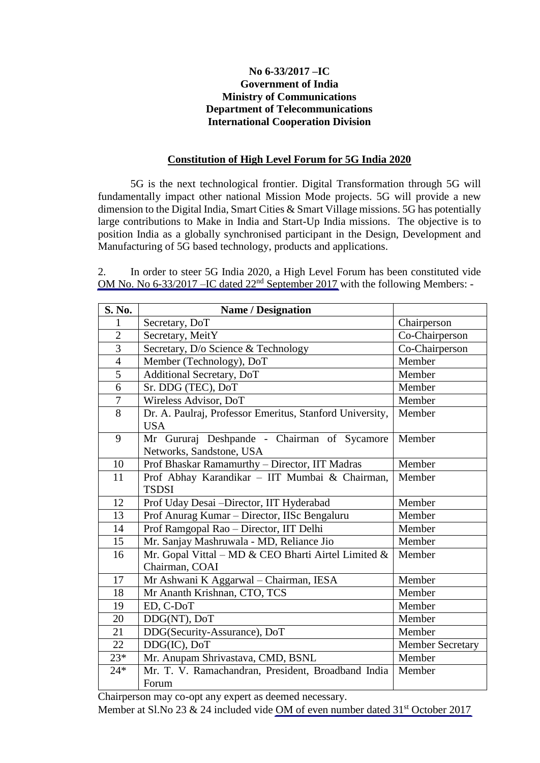## **No 6-33/2017 –IC Government of India Ministry of Communications Department of Telecommunications International Cooperation Division**

## **Constitution of High Level Forum for 5G India 2020**

5G is the next technological frontier. Digital Transformation through 5G will fundamentally impact other national Mission Mode projects. 5G will provide a new dimension to the Digital India, Smart Cities & Smart Village missions. 5G has potentially large contributions to Make in India and Start-Up India missions. The objective is to position India as a globally synchronised participant in the Design, Development and Manufacturing of 5G based technology, products and applications.

2. In order to steer 5G India 2020, a High Level Forum has been constituted vide OM No. No 6-33/2017 – IC dated 22<sup>nd</sup> September 2017 with the following Members: -

| S. No.         | <b>Name / Designation</b>                                |                         |
|----------------|----------------------------------------------------------|-------------------------|
| 1              | Secretary, DoT                                           | Chairperson             |
| $\overline{2}$ | Secretary, MeitY                                         | Co-Chairperson          |
| $\overline{3}$ | Secretary, D/o Science & Technology                      | Co-Chairperson          |
| $\overline{4}$ | Member (Technology), DoT                                 | Member                  |
| $\overline{5}$ | Additional Secretary, DoT                                | Member                  |
| $\overline{6}$ | Sr. DDG (TEC), DoT                                       | Member                  |
| $\overline{7}$ | Wireless Advisor, DoT                                    | Member                  |
| 8              | Dr. A. Paulraj, Professor Emeritus, Stanford University, | Member                  |
|                | <b>USA</b>                                               |                         |
| 9              | Mr Gururaj Deshpande - Chairman of Sycamore              | Member                  |
|                | Networks, Sandstone, USA                                 |                         |
| 10             | Prof Bhaskar Ramamurthy - Director, IIT Madras           | Member                  |
| 11             | Prof Abhay Karandikar - IIT Mumbai & Chairman,           | Member                  |
|                | <b>TSDSI</b>                                             |                         |
| 12             | Prof Uday Desai - Director, IIT Hyderabad                | Member                  |
| 13             | Prof Anurag Kumar - Director, IISc Bengaluru             | Member                  |
| 14             | Prof Ramgopal Rao - Director, IIT Delhi                  | Member                  |
| 15             | Mr. Sanjay Mashruwala - MD, Reliance Jio                 | Member                  |
| 16             | Mr. Gopal Vittal - MD & CEO Bharti Airtel Limited &      | Member                  |
|                | Chairman, COAI                                           |                         |
| 17             | Mr Ashwani K Aggarwal - Chairman, IESA                   | Member                  |
| 18             | Mr Ananth Krishnan, CTO, TCS                             | Member                  |
| 19             | ED, C-DoT                                                | Member                  |
| 20             | DDG(NT), DoT                                             | Member                  |
| 21             | DDG(Security-Assurance), DoT                             | Member                  |
| 22             | DDG(IC), DoT                                             | <b>Member Secretary</b> |
| $23*$          | Mr. Anupam Shrivastava, CMD, BSNL                        | Member                  |
| $24*$          | Mr. T. V. Ramachandran, President, Broadband India       | Member                  |
|                | Forum                                                    |                         |

Chairperson may co-opt any expert as deemed necessary.

Member at Sl.No 23 & 24 included vide [OM of even number dated 31](http://www.dot.gov.in/sites/default/files/HLF%205G%202020%20co-opted%20members.pdf)<sup>st</sup> October 2017